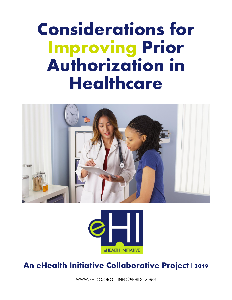# **Considerations for Improving Prior Authorization in Healthcare**





### **An eHealth Initiative Collaborative Project | 2019**

WWW.[EHIDC](http://www.ehidc.org/).ORG |INFO@[EHIDC](mailto:%7Cinfo@ehidc.org).ORG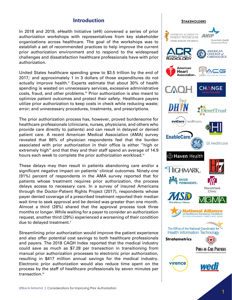### **Introduction**

In 2018 and 2019, eHealth Initiative (eHI) convened a series of prior authorization workshops with representatives from key stakeholder organizations across healthcare. The goal of the workshops was to establish a set of recommended practices to help improve the current prior authorization environment and to respond to the widespread challenges and dissatisfaction healthcare professionals have with prior authorization.

United States healthcare spending grew to \$3.5 trillion by the end of 2017, and approximately 1 in 3 dollars of those expenditures do not actually improve health.<sup>ii</sup> Experts estimate that about 30% of health spending is wasted on unnecessary services, excessive administrative costs, fraud, and other problems.<sup>iii</sup> Prior authorization is also meant to optimize patient outcomes and protect their safety. Healthcare payers utilize prior authorization to keep costs in check while reducing waste; error; and unnecessary procedures, treatments, and prescriptions.

The prior authorization process has, however, proved burdensome for healthcare professionals (clinicians, nurses, physicians, and others who provide care directly to patients) and can result in delayed or denied patient care. A recent American Medical Association (AMA) survey revealed that 86% of physician respondents feel that the burden associated with prior authorization in their office is either "high or extremely high" and that they and their staff spend an average of 14.9 hours each week to complete the prior authorization workload.<sup>iv</sup>

These delays may then result in patients abandoning care and/or a significant negative impact on patients' clinical outcomes. Ninety-one (91%) percent of respondents in the AMA survey reported that for patients whose treatment requires prior authorization, the process delays access to necessary care. In a survey of insured Americans through the Doctor-Patient Rights Project (2017), respondents whose payer denied coverage of a prescribed treatment reported their median wait time to seek approval and be denied was greater than one month. Almost a third (28%) shared that the approval process took three months or longer. While waiting for a payer to consider an authorization request, another third (29%) experienced a worsening of their condition due to delayed treatment.<sup>v</sup>

Streamlining prior authorization would improve the patient experience and also offer potential cost savings to both healthcare professionals and payers. The 2018 CAQH Index reported that the medical industry could save as much as \$7.28 per transaction in transitioning from manual prior authorization processes to electronic prior authorization, resulting in \$417 million annual savings for the medical industry. Electronic prior authorization would also reduce time spent on the process by the staff of healthcare professionals by seven minutes per transaction.<sup>vi</sup>

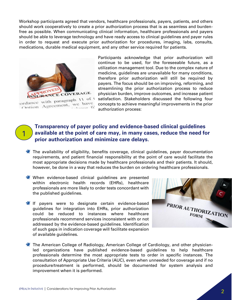Workshop participants agreed that vendors, healthcare professionals, payers, patients, and others should work cooperatively to create a prior authorization process that is as seamless and burdenfree as possible. When communicating clinical information, healthcare professionals and payers should be able to leverage technology and have ready access to clinical guidelines and payer rules in order to request and execute prior authorization for procedures, imaging, labs, consults, medications, durable medical equipment, and any other service required for patients.



1

Participants acknowledge that prior authorization will continue to be used, for the foreseeable future, as a utilization management tool. Due to the complex nature of medicine, guidelines are unavailable for many conditions, therefore prior authorization will still be required by payers. The focus should be on improving, reforming, and streamlining the prior authorization process to reduce physician burden, improve outcomes, and increase patient satisfaction. Stakeholders discussed the following four concepts to achieve meaningful improvements in the prior authorization process:

**Transparency of payer policy and evidence-based clinical guidelines available at the point of care may, in many cases, reduce the need for prior authorization and minimize care delays.**

- $\bullet$  The availability of eligibility, benefits coverage, clinical guidelines, payer documentation requirements, and patient financial responsibility at the point of care would facilitate the most appropriate decisions made by healthcare professionals and their patients. It should, however, be done in a way that reduces the burden on ordering healthcare professionals.
- **<sup>◆</sup>** When evidence-based clinical guidelines are presented within electronic health records (EHRs), healthcare professionals are more likely to order tests concordant with the published guidelines.
- **If** payers were to designate certain evidence-based guidelines for integration into EHRs, prior authorization could be reduced to instances where healthcare professionals recommend services inconsistent with or not addressed by the evidence-based guidelines. Identification of such gaps in indication coverage will facilitate expansion of available guidelines.



The American College of Radiology, American College of Cardiology, and other physicianled organizations have published evidence-based guidelines to help healthcare professionals determine the most appropriate tests to order in specific instances. The consultation of Appropriate Use Criteria (AUC), even when unneeded for coverage and if no procedure/treatment is performed, should be documented for system analysis and improvement when it is performed.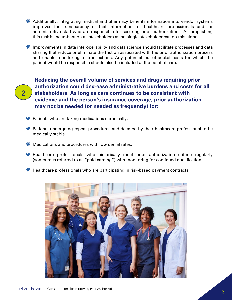- Additionally, integrating medical and pharmacy benefits information into vendor systems improves the transparency of that information for healthcare professionals and for administrative staff who are responsible for securing prior authorizations. Accomplishing this task is incumbent on all stakeholders as no single stakeholder can do this alone.
- $\mathbf{\mathcal{F}}$  Improvements in data interoperability and data science should facilitate processes and data sharing that reduce or eliminate the friction associated with the prior authorization process and enable monitoring of transactions. Any potential out-of-pocket costs for which the patient would be responsible should also be included at the point of care.
- 2

**Reducing the overall volume of services and drugs requiring prior authorization could decrease administrative burdens and costs for all stakeholders. As long as care continues to be consistent with evidence and the person's insurance coverage, prior authorization may not be needed (or needed as frequently) for:**

- **★** Patients who are taking medications chronically.
- **\*** Patients undergoing repeat procedures and deemed by their healthcare professional to be medically stable.
- **W** Medications and procedures with low denial rates.
- **K** Healthcare professionals who historically meet prior authorization criteria regularly (sometimes referred to as "gold carding") with monitoring for continued qualification.
- Healthcare professionals who are participating in risk-based payment contracts.

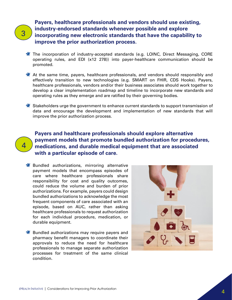## 3

4

**Payers, healthcare professionals and vendors should use existing, industry-endorsed standards whenever possible and explore incorporating new electronic standards that have the capability to improve the prior authorization process.**

- **\*** The incorporation of industry-accepted standards (e.g. LOINC, Direct Messaging, CORE operating rules, and EDI (x12 278)) into payer-healthcare communication should be promoted.
- At the same time, payers, healthcare professionals, and vendors should responsibly and effectively transition to new technologies (e.g. SMART on FHIR, CDS Hooks). Payers, healthcare professionals, vendors and/or their business associates should work together to develop a clear implementation roadmap and timeline to incorporate new standards and operating rules as they emerge and are ratified by their governing bodies.
- $\bullet$  Stakeholders urge the government to enhance current standards to support transmission of data and encourage the development and implementation of new standards that will improve the prior authorization process.

**Payers and healthcare professionals should explore alternative payment models that promote bundled authorization for procedures, medications, and durable medical equipment that are associated with a particular episode of care.**

- $\bigstar$  Bundled authorizations, mirroring alternative payment models that encompass episodes of care where healthcare professionals share responsibility for cost and quality outcomes, could reduce the volume and burden of prior authorizations. For example, payers could design bundled authorizations to acknowledge the most frequent components of care associated with an episode, based on AUC, rather than asking healthcare professionals to request authorization for each individual procedure, medication, or durable equipment.
- $\bigstar$  Bundled authorizations may require payers and pharmacy benefit managers to coordinate their approvals to reduce the need for healthcare professionals to manage separate authorization processes for treatment of the same clinical condition.